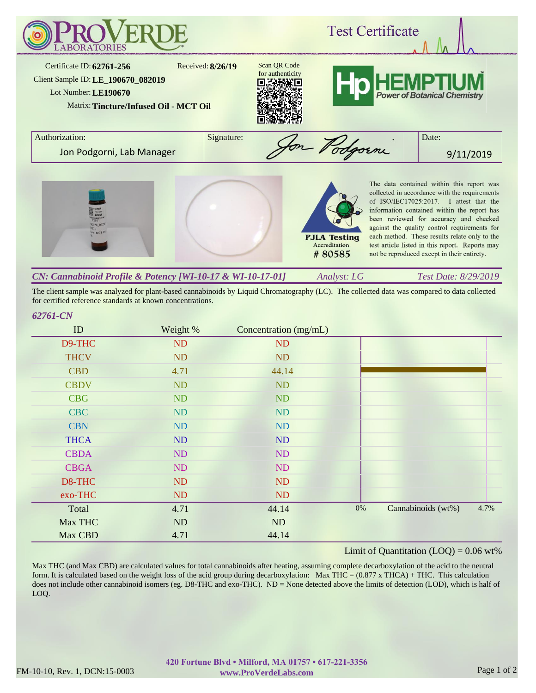

*Analyst: LG Test Date: 8/29/2019 CN: Cannabinoid Profile & Potency [WI-10-17 & WI-10-17-01]*

The client sample was analyzed for plant-based cannabinoids by Liquid Chromatography (LC). The collected data was compared to data collected for certified reference standards at known concentrations.

## *62761-CN*

| ID          | Weight %  | Concentration (mg/mL) |    |                    |      |
|-------------|-----------|-----------------------|----|--------------------|------|
| D9-THC      | ND        | ND                    |    |                    |      |
| <b>THCV</b> | <b>ND</b> | <b>ND</b>             |    |                    |      |
| <b>CBD</b>  | 4.71      | 44.14                 |    |                    |      |
| <b>CBDV</b> | ND        | ND                    |    |                    |      |
| <b>CBG</b>  | ND        | ND                    |    |                    |      |
| <b>CBC</b>  | ND        | ND                    |    |                    |      |
| <b>CBN</b>  | ND        | ND                    |    |                    |      |
| <b>THCA</b> | ND        | ND                    |    |                    |      |
| <b>CBDA</b> | ND        | ND                    |    |                    |      |
| <b>CBGA</b> | ND        | ND                    |    |                    |      |
| D8-THC      | ND        | <b>ND</b>             |    |                    |      |
| exo-THC     | ND        | ND                    |    |                    |      |
| Total       | 4.71      | 44.14                 | 0% | Cannabinoids (wt%) | 4.7% |
| Max THC     | ND        | ND                    |    |                    |      |
| Max CBD     | 4.71      | 44.14                 |    |                    |      |

## Limit of Quantitation  $(LOQ) = 0.06$  wt%

Max THC (and Max CBD) are calculated values for total cannabinoids after heating, assuming complete decarboxylation of the acid to the neutral form. It is calculated based on the weight loss of the acid group during decarboxylation: Max THC =  $(0.877 \times THCA) + THC$ . This calculation does not include other cannabinoid isomers (eg. D8-THC and exo-THC). ND = None detected above the limits of detection (LOD), which is half of LOQ.